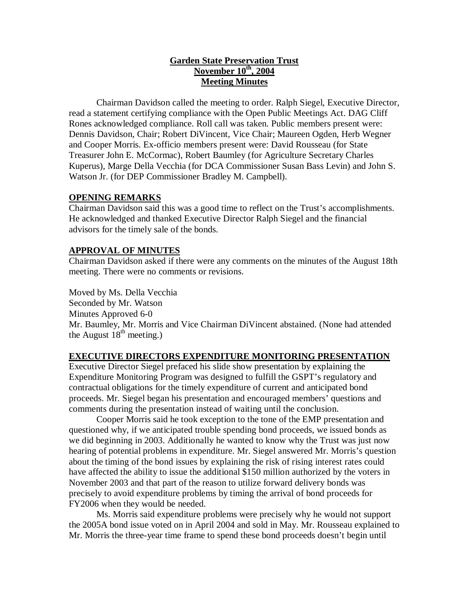# **Garden State Preservation Trust November 10<sup>th</sup>, 2004 Meeting Minutes**

Chairman Davidson called the meeting to order. Ralph Siegel, Executive Director, read a statement certifying compliance with the Open Public Meetings Act. DAG Cliff Rones acknowledged compliance. Roll call was taken. Public members present were: Dennis Davidson, Chair; Robert DiVincent, Vice Chair; Maureen Ogden, Herb Wegner and Cooper Morris. Ex-officio members present were: David Rousseau (for State Treasurer John E. McCormac), Robert Baumley (for Agriculture Secretary Charles Kuperus), Marge Della Vecchia (for DCA Commissioner Susan Bass Levin) and John S. Watson Jr. (for DEP Commissioner Bradley M. Campbell).

# **OPENING REMARKS**

Chairman Davidson said this was a good time to reflect on the Trust's accomplishments. He acknowledged and thanked Executive Director Ralph Siegel and the financial advisors for the timely sale of the bonds.

### **APPROVAL OF MINUTES**

Chairman Davidson asked if there were any comments on the minutes of the August 18th meeting. There were no comments or revisions.

Moved by Ms. Della Vecchia Seconded by Mr. Watson Minutes Approved 6-0 Mr. Baumley, Mr. Morris and Vice Chairman DiVincent abstained. (None had attended the August  $18<sup>th</sup>$  meeting.)

### **EXECUTIVE DIRECTORS EXPENDITURE MONITORING PRESENTATION**

Executive Director Siegel prefaced his slide show presentation by explaining the Expenditure Monitoring Program was designed to fulfill the GSPT's regulatory and contractual obligations for the timely expenditure of current and anticipated bond proceeds. Mr. Siegel began his presentation and encouraged members' questions and comments during the presentation instead of waiting until the conclusion.

Cooper Morris said he took exception to the tone of the EMP presentation and questioned why, if we anticipated trouble spending bond proceeds, we issued bonds as we did beginning in 2003. Additionally he wanted to know why the Trust was just now hearing of potential problems in expenditure. Mr. Siegel answered Mr. Morris's question about the timing of the bond issues by explaining the risk of rising interest rates could have affected the ability to issue the additional \$150 million authorized by the voters in November 2003 and that part of the reason to utilize forward delivery bonds was precisely to avoid expenditure problems by timing the arrival of bond proceeds for FY2006 when they would be needed.

Ms. Morris said expenditure problems were precisely why he would not support the 2005A bond issue voted on in April 2004 and sold in May. Mr. Rousseau explained to Mr. Morris the three-year time frame to spend these bond proceeds doesn't begin until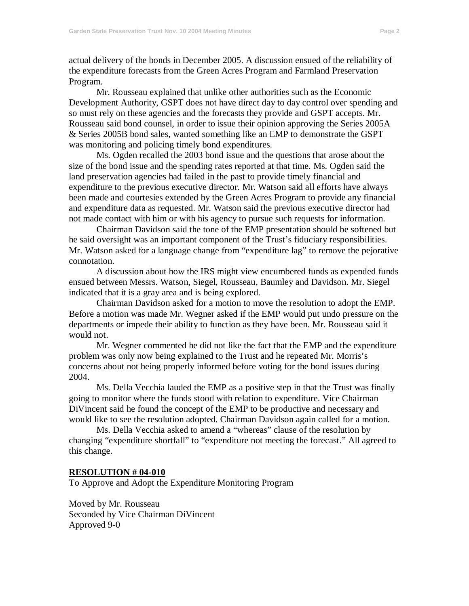actual delivery of the bonds in December 2005. A discussion ensued of the reliability of the expenditure forecasts from the Green Acres Program and Farmland Preservation Program.

Mr. Rousseau explained that unlike other authorities such as the Economic Development Authority, GSPT does not have direct day to day control over spending and so must rely on these agencies and the forecasts they provide and GSPT accepts. Mr. Rousseau said bond counsel, in order to issue their opinion approving the Series 2005A & Series 2005B bond sales, wanted something like an EMP to demonstrate the GSPT was monitoring and policing timely bond expenditures.

Ms. Ogden recalled the 2003 bond issue and the questions that arose about the size of the bond issue and the spending rates reported at that time. Ms. Ogden said the land preservation agencies had failed in the past to provide timely financial and expenditure to the previous executive director. Mr. Watson said all efforts have always been made and courtesies extended by the Green Acres Program to provide any financial and expenditure data as requested. Mr. Watson said the previous executive director had not made contact with him or with his agency to pursue such requests for information.

Chairman Davidson said the tone of the EMP presentation should be softened but he said oversight was an important component of the Trust's fiduciary responsibilities. Mr. Watson asked for a language change from "expenditure lag" to remove the pejorative connotation.

A discussion about how the IRS might view encumbered funds as expended funds ensued between Messrs. Watson, Siegel, Rousseau, Baumley and Davidson. Mr. Siegel indicated that it is a gray area and is being explored.

Chairman Davidson asked for a motion to move the resolution to adopt the EMP. Before a motion was made Mr. Wegner asked if the EMP would put undo pressure on the departments or impede their ability to function as they have been. Mr. Rousseau said it would not.

Mr. Wegner commented he did not like the fact that the EMP and the expenditure problem was only now being explained to the Trust and he repeated Mr. Morris's concerns about not being properly informed before voting for the bond issues during 2004.

Ms. Della Vecchia lauded the EMP as a positive step in that the Trust was finally going to monitor where the funds stood with relation to expenditure. Vice Chairman DiVincent said he found the concept of the EMP to be productive and necessary and would like to see the resolution adopted. Chairman Davidson again called for a motion.

Ms. Della Vecchia asked to amend a "whereas" clause of the resolution by changing "expenditure shortfall" to "expenditure not meeting the forecast." All agreed to this change.

#### **RESOLUTION # 04-010**

To Approve and Adopt the Expenditure Monitoring Program

Moved by Mr. Rousseau Seconded by Vice Chairman DiVincent Approved 9-0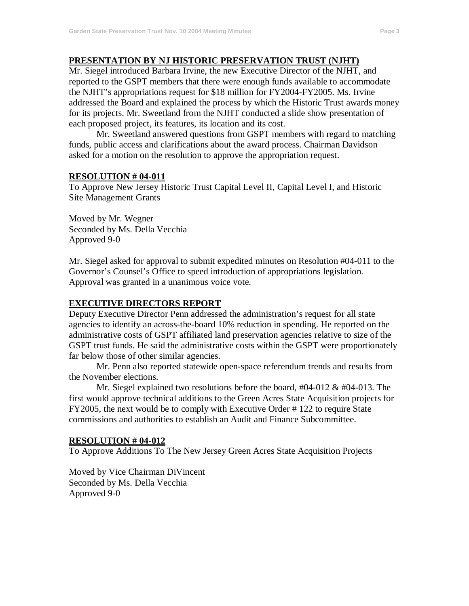# **PRESENTATION BY NJ HISTORIC PRESERVATION TRUST (NJHT)**

Mr. Siegel introduced Barbara Irvine, the new Executive Director of the NJHT, and reported to the GSPT members that there were enough funds available to accommodate the NJHT's appropriations request for \$18 million for FY2004-FY2005. Ms. Irvine addressed the Board and explained the process by which the Historic Trust awards money for its projects. Mr. Sweetland from the NJHT conducted a slide show presentation of each proposed project, its features, its location and its cost.

Mr. Sweetland answered questions from GSPT members with regard to matching funds, public access and clarifications about the award process. Chairman Davidson asked for a motion on the resolution to approve the appropriation request.

#### **RESOLUTION # 04-011**

To Approve New Jersey Historic Trust Capital Level II, Capital Level I, and Historic Site Management Grants

Moved by Mr. Wegner Seconded by Ms. Della Vecchia Approved 9-0

Mr. Siegel asked for approval to submit expedited minutes on Resolution #04-011 to the Governor's Counsel's Office to speed introduction of appropriations legislation. Approval was granted in a unanimous voice vote.

## **EXECUTIVE DIRECTORS REPORT**

Deputy Executive Director Penn addressed the administration's request for all state agencies to identify an across-the-board 10% reduction in spending. He reported on the administrative costs of GSPT affiliated land preservation agencies relative to size of the GSPT trust funds. He said the administrative costs within the GSPT were proportionately far below those of other similar agencies.

Mr. Penn also reported statewide open-space referendum trends and results from the November elections.

Mr. Siegel explained two resolutions before the board,  $\#04-012 \& \#04-013$ . The first would approve technical additions to the Green Acres State Acquisition projects for FY2005, the next would be to comply with Executive Order # 122 to require State commissions and authorities to establish an Audit and Finance Subcommittee.

#### **RESOLUTION # 04-012**

To Approve Additions To The New Jersey Green Acres State Acquisition Projects

Moved by Vice Chairman DiVincent Seconded by Ms. Della Vecchia Approved 9-0